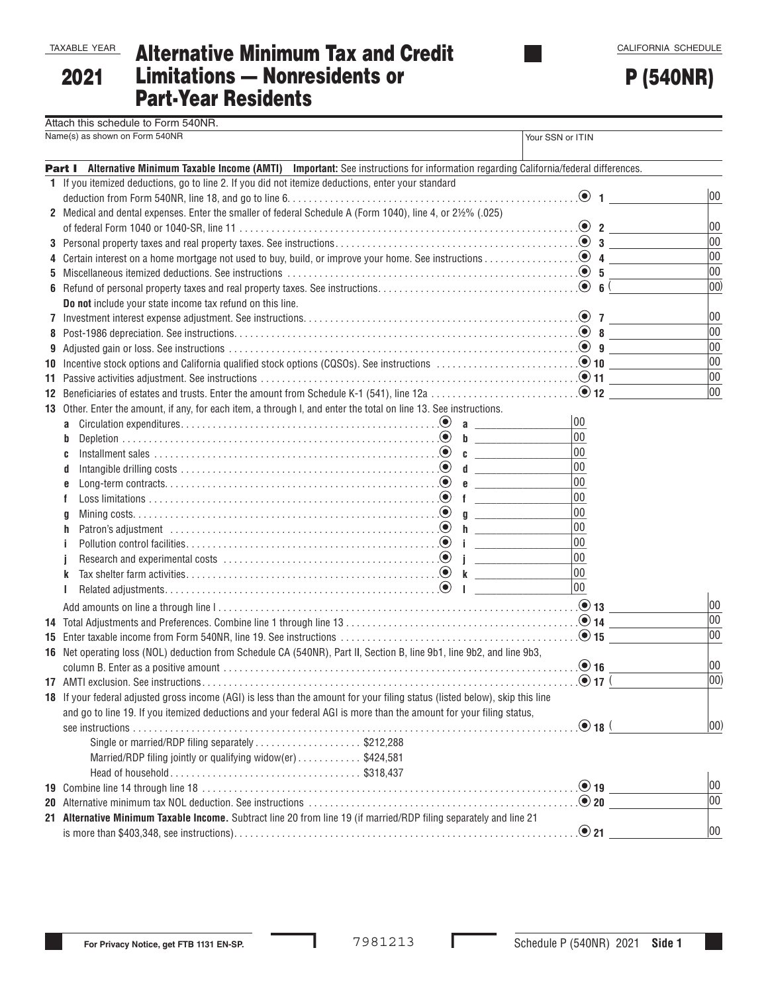CALIFORNIA SCHEDULE

| <b>TAXABLE YEAR</b> |  |
|---------------------|--|
|                     |  |

|      | <b>EXABLE YEAR</b> Alternative Minimum Tax and Credit |
|------|-------------------------------------------------------|
|      |                                                       |
| 2021 | <b>Limitations — Nonresidents or</b>                  |
|      | <b>Part-Year Residents</b>                            |

P (540NR)

| Attach this schedule to Form 540NR.                                                                                                           |                                                  |                 |
|-----------------------------------------------------------------------------------------------------------------------------------------------|--------------------------------------------------|-----------------|
| Name(s) as shown on Form 540NR                                                                                                                | Your SSN or ITIN                                 |                 |
|                                                                                                                                               |                                                  |                 |
| Part I Alternative Minimum Taxable Income (AMTI) Important: See instructions for information regarding California/federal differences.        |                                                  |                 |
| 1 If you itemized deductions, go to line 2. If you did not itemize deductions, enter your standard                                            |                                                  |                 |
| deduction from Form 540NR, line 18, and go to line 6. $\dots\dots\dots\dots\dots\dots\dots\dots\dots\dots\dots\dots\dots\dots\dots\dots\circ$ |                                                  | 00              |
| 2 Medical and dental expenses. Enter the smaller of federal Schedule A (Form 1040), line 4, or 2½% (.025)                                     |                                                  |                 |
|                                                                                                                                               |                                                  | 00              |
|                                                                                                                                               |                                                  | 00              |
|                                                                                                                                               |                                                  | 00              |
|                                                                                                                                               |                                                  | 00              |
|                                                                                                                                               |                                                  | $ 00\rangle$    |
| Do not include your state income tax refund on this line.                                                                                     |                                                  |                 |
|                                                                                                                                               |                                                  | 00              |
|                                                                                                                                               |                                                  | 00              |
|                                                                                                                                               |                                                  | 00              |
|                                                                                                                                               |                                                  | 00              |
|                                                                                                                                               |                                                  | 00              |
|                                                                                                                                               |                                                  | $ _{00}$        |
| 13 Other. Enter the amount, if any, for each item, a through I, and enter the total on line 13. See instructions.                             |                                                  |                 |
| a                                                                                                                                             | 00                                               |                 |
| b<br>b                                                                                                                                        | 00                                               |                 |
| C                                                                                                                                             | 00                                               |                 |
| d                                                                                                                                             | 00                                               |                 |
| $\mathbf{e}$ and $\mathbf{e}$ and $\mathbf{e}$<br>e                                                                                           | 00                                               |                 |
|                                                                                                                                               | 00                                               |                 |
| $q \overline{q}$<br>a                                                                                                                         | 00                                               |                 |
| h                                                                                                                                             | 00                                               |                 |
|                                                                                                                                               | 00                                               |                 |
|                                                                                                                                               | 00                                               |                 |
|                                                                                                                                               | 00                                               |                 |
|                                                                                                                                               | 00                                               |                 |
|                                                                                                                                               |                                                  | 00              |
|                                                                                                                                               |                                                  | 00              |
|                                                                                                                                               |                                                  | 00              |
|                                                                                                                                               |                                                  |                 |
| 16 Net operating loss (NOL) deduction from Schedule CA (540NR), Part II, Section B, line 9b1, line 9b2, and line 9b3,                         | $\odot$ 16                                       | 00              |
|                                                                                                                                               |                                                  | $\overline{00}$ |
|                                                                                                                                               |                                                  |                 |
| 18 If your federal adjusted gross income (AGI) is less than the amount for your filing status (listed below), skip this line                  |                                                  |                 |
| and go to line 19. If you itemized deductions and your federal AGI is more than the amount for your filing status,                            | $\odot$ 18 $($                                   | $ 00\rangle$    |
|                                                                                                                                               |                                                  |                 |
| Single or married/RDP filing separately \$212,288                                                                                             |                                                  |                 |
| Married/RDP filing jointly or qualifying widow(er) \$424,581                                                                                  |                                                  |                 |
|                                                                                                                                               |                                                  |                 |
|                                                                                                                                               |                                                  | 00              |
|                                                                                                                                               | $\overline{\bullet}$ 20 $\overline{\phantom{0}}$ | 00              |
| 21 Alternative Minimum Taxable Income. Subtract line 20 from line 19 (if married/RDP filing separately and line 21                            |                                                  |                 |
|                                                                                                                                               | .⊙ 21                                            | 00              |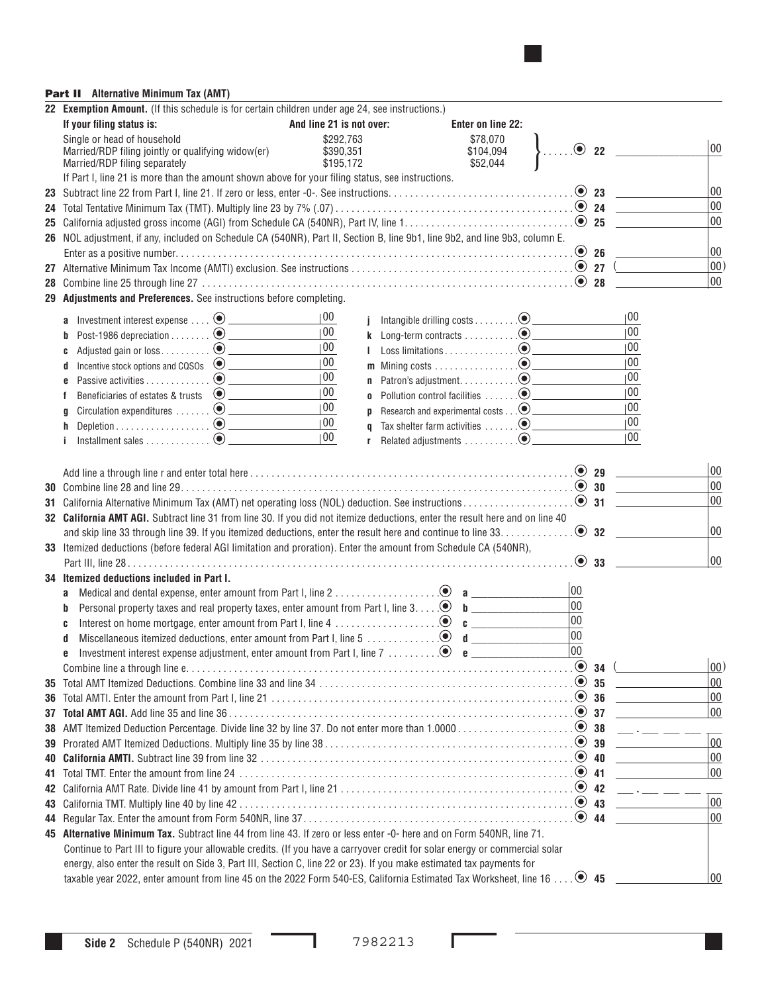

## Part II **Alternative Minimum Tax (AMT)**

|    | 22 Exemption Amount. (If this schedule is for certain children under age 24, see instructions.)                                |                          |              |                                                                             |                   |                 |    |                                                                                                                                                                                                                                                                                                                                                                                              |        |
|----|--------------------------------------------------------------------------------------------------------------------------------|--------------------------|--------------|-----------------------------------------------------------------------------|-------------------|-----------------|----|----------------------------------------------------------------------------------------------------------------------------------------------------------------------------------------------------------------------------------------------------------------------------------------------------------------------------------------------------------------------------------------------|--------|
|    | If your filing status is:                                                                                                      | And line 21 is not over: |              |                                                                             | Enter on line 22: |                 |    |                                                                                                                                                                                                                                                                                                                                                                                              |        |
|    | Single or head of household                                                                                                    | \$292,763                |              |                                                                             | \$78,070          |                 |    |                                                                                                                                                                                                                                                                                                                                                                                              |        |
|    | Married/RDP filing jointly or qualifying widow(er)                                                                             | \$390,351                |              |                                                                             | \$104,094         | $\bigcirc$      | 22 |                                                                                                                                                                                                                                                                                                                                                                                              | $00\,$ |
|    | Married/RDP filing separately                                                                                                  | \$195.172                |              |                                                                             | \$52.044          |                 |    |                                                                                                                                                                                                                                                                                                                                                                                              |        |
|    | If Part I, line 21 is more than the amount shown above for your filing status, see instructions.                               |                          |              |                                                                             |                   |                 |    |                                                                                                                                                                                                                                                                                                                                                                                              | $00\,$ |
|    |                                                                                                                                |                          |              |                                                                             |                   |                 |    |                                                                                                                                                                                                                                                                                                                                                                                              | 00     |
|    |                                                                                                                                |                          |              |                                                                             |                   |                 |    |                                                                                                                                                                                                                                                                                                                                                                                              | 00     |
|    |                                                                                                                                |                          |              |                                                                             |                   |                 |    | 25                                                                                                                                                                                                                                                                                                                                                                                           |        |
|    | 26 NOL adjustment, if any, included on Schedule CA (540NR), Part II, Section B, line 9b1, line 9b2, and line 9b3, column E.    |                          |              |                                                                             |                   |                 |    |                                                                                                                                                                                                                                                                                                                                                                                              | $00\,$ |
|    |                                                                                                                                |                          |              |                                                                             |                   |                 | 26 | 27 $\qquad \qquad$                                                                                                                                                                                                                                                                                                                                                                           | 00)    |
|    |                                                                                                                                |                          |              |                                                                             |                   |                 | 28 |                                                                                                                                                                                                                                                                                                                                                                                              | 00     |
|    |                                                                                                                                |                          |              |                                                                             |                   |                 |    |                                                                                                                                                                                                                                                                                                                                                                                              |        |
|    | 29 Adjustments and Preferences. See instructions before completing.                                                            |                          |              |                                                                             |                   |                 |    |                                                                                                                                                                                                                                                                                                                                                                                              |        |
|    |                                                                                                                                | UU                       |              | Intangible drilling costs $\bullet$                                         |                   |                 |    | 00                                                                                                                                                                                                                                                                                                                                                                                           |        |
|    | Post-1986 depreciation @<br>b                                                                                                  | 00                       |              |                                                                             |                   |                 |    | 00                                                                                                                                                                                                                                                                                                                                                                                           |        |
|    | C                                                                                                                              | 00                       | $\mathbf{L}$ |                                                                             |                   |                 |    | 00                                                                                                                                                                                                                                                                                                                                                                                           |        |
|    | Incentive stock options and CQSOs $\bigcirc$<br>d                                                                              | 00                       |              |                                                                             |                   |                 |    | 00                                                                                                                                                                                                                                                                                                                                                                                           |        |
|    | e                                                                                                                              | 00                       |              |                                                                             |                   |                 |    | 00                                                                                                                                                                                                                                                                                                                                                                                           |        |
|    | f                                                                                                                              | 00                       | 0            | Pollution control facilities $\ldots \ldots \odot$ _____________            |                   |                 |    | 00                                                                                                                                                                                                                                                                                                                                                                                           |        |
|    | g                                                                                                                              | 00                       | D            | Research and experimental costs $\odot$ ___________________________________ |                   |                 |    | 00                                                                                                                                                                                                                                                                                                                                                                                           |        |
|    | h                                                                                                                              | 00                       | a            |                                                                             |                   |                 |    | 00                                                                                                                                                                                                                                                                                                                                                                                           |        |
|    | Ť                                                                                                                              | 00                       | r.           |                                                                             |                   |                 |    | 00                                                                                                                                                                                                                                                                                                                                                                                           |        |
|    |                                                                                                                                |                          |              |                                                                             |                   |                 |    |                                                                                                                                                                                                                                                                                                                                                                                              |        |
|    |                                                                                                                                |                          |              |                                                                             |                   |                 |    |                                                                                                                                                                                                                                                                                                                                                                                              | 00     |
|    |                                                                                                                                |                          |              |                                                                             |                   |                 |    |                                                                                                                                                                                                                                                                                                                                                                                              | $00\,$ |
|    |                                                                                                                                |                          |              |                                                                             |                   |                 |    |                                                                                                                                                                                                                                                                                                                                                                                              | $00\,$ |
|    | 32 California AMT AGI. Subtract line 31 from line 30. If you did not itemize deductions, enter the result here and on line 40  |                          |              |                                                                             |                   |                 |    |                                                                                                                                                                                                                                                                                                                                                                                              |        |
|    | and skip line 33 through line 39. If you itemized deductions, enter the result here and continue to line 33.                   |                          |              |                                                                             |                   |                 |    | $\bullet$ 32                                                                                                                                                                                                                                                                                                                                                                                 | $00\,$ |
|    | 33 Itemized deductions (before federal AGI limitation and proration). Enter the amount from Schedule CA (540NR),               |                          |              |                                                                             |                   |                 |    |                                                                                                                                                                                                                                                                                                                                                                                              |        |
|    |                                                                                                                                |                          |              |                                                                             |                   | $\odot$         | 33 |                                                                                                                                                                                                                                                                                                                                                                                              | 00     |
|    | 34 Itemized deductions included in Part I.                                                                                     |                          |              |                                                                             |                   |                 |    |                                                                                                                                                                                                                                                                                                                                                                                              |        |
|    | Medical and dental expense, enter amount from Part I, line $2 \ldots \ldots \ldots \ldots \ldots$<br>a                         |                          |              |                                                                             |                   | $ 00\rangle$    |    |                                                                                                                                                                                                                                                                                                                                                                                              |        |
|    | Personal property taxes and real property taxes, enter amount from Part I, line $3. \ldots$ (e) b<br>b                         |                          |              |                                                                             |                   | $\overline{00}$ |    |                                                                                                                                                                                                                                                                                                                                                                                              |        |
|    | Interest on home mortgage, enter amount from Part I, line $4 \ldots \ldots \ldots \ldots \ldots$<br>C                          |                          |              |                                                                             |                   | $\overline{00}$ |    |                                                                                                                                                                                                                                                                                                                                                                                              |        |
|    | d                                                                                                                              |                          |              |                                                                             |                   | $\overline{00}$ |    |                                                                                                                                                                                                                                                                                                                                                                                              |        |
|    | 6                                                                                                                              |                          |              |                                                                             |                   | $\overline{00}$ |    |                                                                                                                                                                                                                                                                                                                                                                                              |        |
|    |                                                                                                                                |                          |              |                                                                             |                   |                 |    |                                                                                                                                                                                                                                                                                                                                                                                              | 00)    |
|    |                                                                                                                                |                          |              |                                                                             |                   |                 |    |                                                                                                                                                                                                                                                                                                                                                                                              | 00     |
|    |                                                                                                                                |                          |              |                                                                             |                   |                 |    |                                                                                                                                                                                                                                                                                                                                                                                              | $00\,$ |
|    |                                                                                                                                |                          |              |                                                                             |                   |                 |    |                                                                                                                                                                                                                                                                                                                                                                                              | 00     |
|    |                                                                                                                                |                          |              |                                                                             |                   |                 |    | $\frac{1}{2} \frac{1}{2} \frac{1}{2} \frac{1}{2} \frac{1}{2} \frac{1}{2} \frac{1}{2} \frac{1}{2} \frac{1}{2} \frac{1}{2} \frac{1}{2} \frac{1}{2} \frac{1}{2} \frac{1}{2} \frac{1}{2} \frac{1}{2} \frac{1}{2} \frac{1}{2} \frac{1}{2} \frac{1}{2} \frac{1}{2} \frac{1}{2} \frac{1}{2} \frac{1}{2} \frac{1}{2} \frac{1}{2} \frac{1}{2} \frac{1}{2} \frac{1}{2} \frac{1}{2} \frac{1}{2} \frac{$ |        |
|    |                                                                                                                                |                          |              |                                                                             |                   |                 |    |                                                                                                                                                                                                                                                                                                                                                                                              | $00\,$ |
| 40 |                                                                                                                                |                          |              |                                                                             |                   |                 |    |                                                                                                                                                                                                                                                                                                                                                                                              | 00     |
|    |                                                                                                                                |                          |              |                                                                             |                   |                 |    |                                                                                                                                                                                                                                                                                                                                                                                              | 00     |
|    |                                                                                                                                |                          |              |                                                                             |                   |                 |    |                                                                                                                                                                                                                                                                                                                                                                                              |        |
|    |                                                                                                                                |                          |              |                                                                             |                   |                 |    |                                                                                                                                                                                                                                                                                                                                                                                              | $00\,$ |
|    |                                                                                                                                |                          |              |                                                                             |                   |                 | 44 | <u> San San San San Sa</u>                                                                                                                                                                                                                                                                                                                                                                   | $00\,$ |
|    | 45 Alternative Minimum Tax. Subtract line 44 from line 43. If zero or less enter -0- here and on Form 540NR, line 71.          |                          |              |                                                                             |                   |                 |    |                                                                                                                                                                                                                                                                                                                                                                                              |        |
|    | Continue to Part III to figure your allowable credits. (If you have a carryover credit for solar energy or commercial solar    |                          |              |                                                                             |                   |                 |    |                                                                                                                                                                                                                                                                                                                                                                                              |        |
|    | energy, also enter the result on Side 3, Part III, Section C, line 22 or 23). If you make estimated tax payments for           |                          |              |                                                                             |                   |                 |    |                                                                                                                                                                                                                                                                                                                                                                                              |        |
|    | taxable year 2022, enter amount from line 45 on the 2022 Form 540-ES, California Estimated Tax Worksheet, line 16 $\bullet$ 45 |                          |              |                                                                             |                   |                 |    |                                                                                                                                                                                                                                                                                                                                                                                              | 00     |

Г